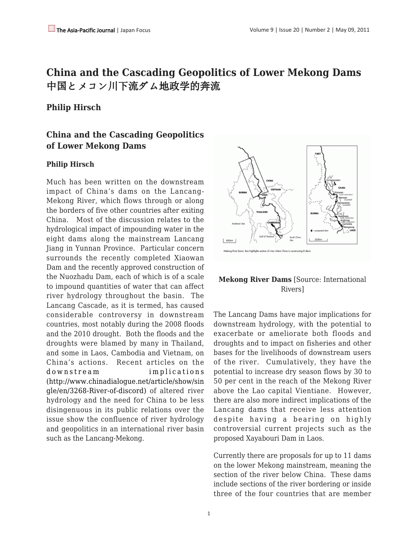# **China and the Cascading Geopolitics of Lower Mekong Dams** 中国とメコン川下流ダム地政学的奔流

### **Philip Hirsch**

## **China and the Cascading Geopolitics of Lower Mekong Dams**

#### **Philip Hirsch**

Much has been written on the downstream impact of China's dams on the Lancang-Mekong River, which flows through or along the borders of five other countries after exiting China. Most of the discussion relates to the hydrological impact of impounding water in the eight dams along the mainstream Lancang Jiang in Yunnan Province. Particular concern surrounds the recently completed Xiaowan Dam and the recently approved construction of the Nuozhadu Dam, each of which is of a scale to impound quantities of water that can affect river hydrology throughout the basin. The Lancang Cascade, as it is termed, has caused considerable controversy in downstream countries, most notably during the 2008 floods and the 2010 drought. Both the floods and the droughts were blamed by many in Thailand, and some in Laos, Cambodia and Vietnam, on China's actions. Recent articles on the [downstream implications](http://www.chinadialogue.net/article/show/single/en/3268-River-of-discord) [\(http://www.chinadialogue.net/article/show/sin](http://www.chinadialogue.net/article/show/single/en/3268-River-of-discord) [gle/en/3268-River-of-discord\)](http://www.chinadialogue.net/article/show/single/en/3268-River-of-discord) of altered river hydrology and the need for China to be less disingenuous in its public relations over the issue show the confluence of river hydrology and geopolitics in an international river basin such as the Lancang-Mekong.



### **Mekong River Dams** [Source: International Rivers]

The Lancang Dams have major implications for downstream hydrology, with the potential to exacerbate or ameliorate both floods and droughts and to impact on fisheries and other bases for the livelihoods of downstream users of the river. Cumulatively, they have the potential to increase dry season flows by 30 to 50 per cent in the reach of the Mekong River above the Lao capital Vientiane. However, there are also more indirect implications of the Lancang dams that receive less attention despite having a bearing on highly controversial current projects such as the proposed Xayabouri Dam in Laos.

Currently there are proposals for up to 11 dams on the lower Mekong mainstream, meaning the section of the river below China. These dams include sections of the river bordering or inside three of the four countries that are member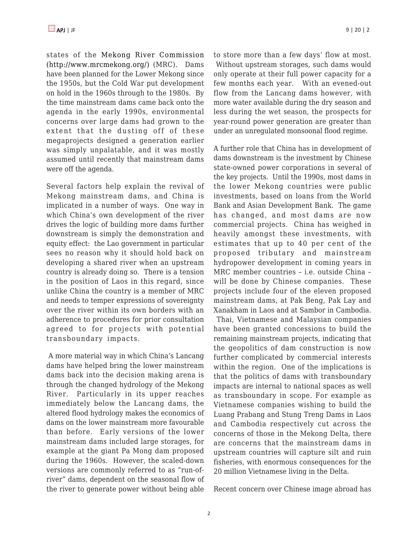states of the [Mekong River Commission](http://www.mrcmekong.org/) [\(http://www.mrcmekong.org/\)](http://www.mrcmekong.org/) (MRC). Dams have been planned for the Lower Mekong since the 1950s, but the Cold War put development on hold in the 1960s through to the 1980s. By the time mainstream dams came back onto the agenda in the early 1990s, environmental concerns over large dams had grown to the extent that the dusting off of these megaprojects designed a generation earlier was simply unpalatable, and it was mostly assumed until recently that mainstream dams were off the agenda.

Several factors help explain the revival of Mekong mainstream dams, and China is implicated in a number of ways. One way in which China's own development of the river drives the logic of building more dams further downstream is simply the demonstration and equity effect: the Lao government in particular sees no reason why it should hold back on developing a shared river when an upstream country is already doing so. There is a tension in the position of Laos in this regard, since unlike China the country is a member of MRC and needs to temper expressions of sovereignty over the river within its own borders with an adherence to procedures for prior consultation agreed to for projects with potential transboundary impacts.

 A more material way in which China's Lancang dams have helped bring the lower mainstream dams back into the decision making arena is through the changed hydrology of the Mekong River. Particularly in its upper reaches immediately below the Lancang dams, the altered flood hydrology makes the economics of dams on the lower mainstream more favourable than before. Early versions of the lower mainstream dams included large storages, for example at the giant Pa Mong dam proposed during the 1960s. However, the scaled-down versions are commonly referred to as "run-ofriver" dams, dependent on the seasonal flow of the river to generate power without being able to store more than a few days' flow at most. Without upstream storages, such dams would only operate at their full power capacity for a few months each year. With an evened-out flow from the Lancang dams however, with more water available during the dry season and less during the wet season, the prospects for year-round power generation are greater than under an unregulated monsoonal flood regime.

A further role that China has in development of dams downstream is the investment by Chinese state-owned power corporations in several of the key projects. Until the 1990s, most dams in the lower Mekong countries were public investments, based on loans from the World Bank and Asian Development Bank. The game has changed, and most dams are now commercial projects. China has weighed in heavily amongst these investments, with estimates that up to 40 per cent of the proposed tributary and mainstream hydropower development in coming years in MRC member countries – i.e. outside China – will be done by Chinese companies. These projects include four of the eleven proposed mainstream dams, at Pak Beng, Pak Lay and Xanakham in Laos and at Sambor in Cambodia.

 Thai, Vietnamese and Malaysian companies have been granted concessions to build the remaining mainstream projects, indicating that the geopolitics of dam construction is now further complicated by commercial interests within the region. One of the implications is that the politics of dams with transboundary impacts are internal to national spaces as well as transboundary in scope. For example as Vietnamese companies wishing to build the Luang Prabang and Stung Treng Dams in Laos and Cambodia respectively cut across the concerns of those in the Mekong Delta, there are concerns that the mainstream dams in upstream countries will capture silt and ruin fisheries, with enormous consequences for the 20 million Vietnamese living in the Delta.

Recent concern over Chinese image abroad has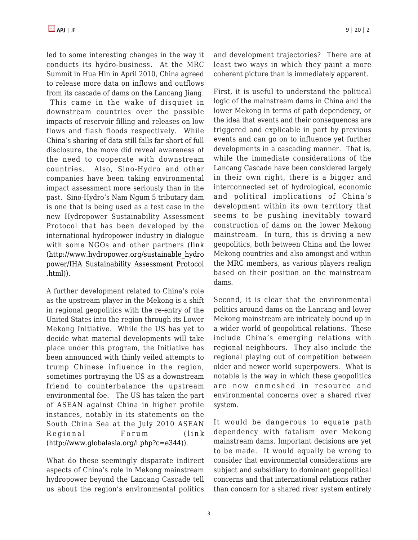led to some interesting changes in the way it conducts its hydro-business. At the MRC Summit in Hua Hin in April 2010, China agreed to release more data on inflows and outflows from its cascade of dams on the Lancang Jiang.

 This came in the wake of disquiet in downstream countries over the possible impacts of reservoir filling and releases on low flows and flash floods respectively. While China's sharing of data still falls far short of full disclosure, the move did reveal awareness of the need to cooperate with downstream countries. Also, Sino-Hydro and other companies have been taking environmental impact assessment more seriously than in the past. Sino-Hydro's Nam Ngum 5 tributary dam is one that is being used as a test case in the new Hydropower Sustainability Assessment Protocol that has been developed by the international hydropower industry in dialogue with some NGOs and other partners ([link](http://www.hydropower.org/sustainable_hydropower/IHA_Sustainability_Assessment_Protocol.html) [\(http://www.hydropower.org/sustainable\\_hydro](http://www.hydropower.org/sustainable_hydropower/IHA_Sustainability_Assessment_Protocol.html) [power/IHA\\_Sustainability\\_Assessment\\_Protocol](http://www.hydropower.org/sustainable_hydropower/IHA_Sustainability_Assessment_Protocol.html) [.html\)\)](http://www.hydropower.org/sustainable_hydropower/IHA_Sustainability_Assessment_Protocol.html).

A further development related to China's role as the upstream player in the Mekong is a shift in regional geopolitics with the re-entry of the United States into the region through its Lower Mekong Initiative. While the US has yet to decide what material developments will take place under this program, the Initiative has been announced with thinly veiled attempts to trump Chinese influence in the region, sometimes portraying the US as a downstream friend to counterbalance the upstream environmental foe. The US has taken the part of ASEAN against China in higher profile instances, notably in its statements on the South China Sea at the July 2010 ASEAN Regional Forum ( [link](http://www.globalasia.org/l.php?c=e344) [\(http://www.globalasia.org/l.php?c=e344\)](http://www.globalasia.org/l.php?c=e344)).

What do these seemingly disparate indirect aspects of China's role in Mekong mainstream hydropower beyond the Lancang Cascade tell us about the region's environmental politics and development trajectories? There are at least two ways in which they paint a more coherent picture than is immediately apparent.

First, it is useful to understand the political logic of the mainstream dams in China and the lower Mekong in terms of path dependency, or the idea that events and their consequences are triggered and explicable in part by previous events and can go on to influence yet further developments in a cascading manner. That is, while the immediate considerations of the Lancang Cascade have been considered largely in their own right, there is a bigger and interconnected set of hydrological, economic and political implications of China's development within its own territory that seems to be pushing inevitably toward construction of dams on the lower Mekong mainstream. In turn, this is driving a new geopolitics, both between China and the lower Mekong countries and also amongst and within the MRC members, as various players realign based on their position on the mainstream dams.

Second, it is clear that the environmental politics around dams on the Lancang and lower Mekong mainstream are intricately bound up in a wider world of geopolitical relations. These include China's emerging relations with regional neighbours. They also include the regional playing out of competition between older and newer world superpowers. What is notable is the way in which these geopolitics are now enmeshed in resource and environmental concerns over a shared river system.

It would be dangerous to equate path dependency with fatalism over Mekong mainstream dams. Important decisions are yet to be made. It would equally be wrong to consider that environmental considerations are subject and subsidiary to dominant geopolitical concerns and that international relations rather than concern for a shared river system entirely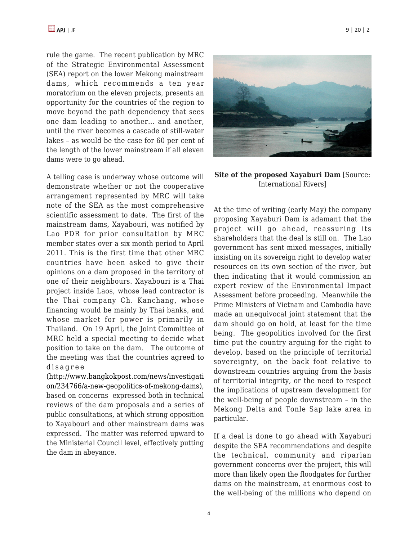rule the game. The recent publication by MRC of the Strategic Environmental Assessment (SEA) report on the lower Mekong mainstream dams, which recommends a ten year moratorium on the eleven projects, presents an opportunity for the countries of the region to move beyond the path dependency that sees one dam leading to another… and another, until the river becomes a cascade of still-water lakes – as would be the case for 60 per cent of the length of the lower mainstream if all eleven dams were to go ahead.

A telling case is underway whose outcome will demonstrate whether or not the cooperative arrangement represented by MRC will take note of the SEA as the most comprehensive scientific assessment to date. The first of the mainstream dams, Xayabouri, was notified by Lao PDR for prior consultation by MRC member states over a six month period to April 2011. This is the first time that other MRC countries have been asked to give their opinions on a dam proposed in the territory of one of their neighbours. Xayabouri is a Thai project inside Laos, whose lead contractor is the Thai company Ch. Kanchang, whose financing would be mainly by Thai banks, and whose market for power is primarily in Thailand. On 19 April, the Joint Committee of MRC held a special meeting to decide what position to take on the dam. The outcome of the meeting was that the countries [agreed to](http://www.bangkokpost.com/news/investigation/234766/a-new-geopolitics-of-mekong-dams) [disagree](http://www.bangkokpost.com/news/investigation/234766/a-new-geopolitics-of-mekong-dams)

[\(http://www.bangkokpost.com/news/investigati](http://www.bangkokpost.com/news/investigation/234766/a-new-geopolitics-of-mekong-dams) [on/234766/a-new-geopolitics-of-mekong-dams\),](http://www.bangkokpost.com/news/investigation/234766/a-new-geopolitics-of-mekong-dams) based on concerns expressed both in technical reviews of the dam proposals and a series of public consultations, at which strong opposition to Xayabouri and other mainstream dams was expressed. The matter was referred upward to the Ministerial Council level, effectively putting the dam in abeyance.



**Site of the proposed Xayaburi Dam** [Source: International Rivers]

At the time of writing (early May) the company proposing Xayaburi Dam is adamant that the project will go ahead, reassuring its shareholders that the deal is still on. The Lao government has sent mixed messages, initially insisting on its sovereign right to develop water resources on its own section of the river, but then indicating that it would commission an expert review of the Environmental Impact Assessment before proceeding. Meanwhile the Prime Ministers of Vietnam and Cambodia have made an unequivocal joint statement that the dam should go on hold, at least for the time being. The geopolitics involved for the first time put the country arguing for the right to develop, based on the principle of territorial sovereignty, on the back foot relative to downstream countries arguing from the basis of territorial integrity, or the need to respect the implications of upstream development for the well-being of people downstream – in the Mekong Delta and Tonle Sap lake area in particular.

If a deal is done to go ahead with Xayaburi despite the SEA recommendations and despite the technical, community and riparian government concerns over the project, this will more than likely open the floodgates for further dams on the mainstream, at enormous cost to the well-being of the millions who depend on